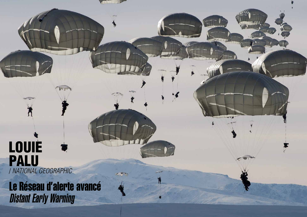## LOUIE PALU / *NATIONAL GEOGRAPHIC*

Le Réseau d'alerte avancé Distant Early Warning

 $V_{H}$ 

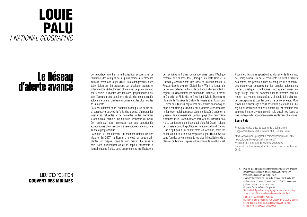## LOUIE PALU / *NATIONAL GEOGRAPHIC*

### Le Réseau d'alerte avancé

LIEU D'EXPOSITION COUVENT DES MINIMES Ce reportage montre la militarisation progressive de l'Arctique, des vestiges de la guerre froide à la présence militaire renforcée aujourd'hui. Les changements dans cette région ont été exacerbés par plusieurs facteurs et notamment le réchauffement climatique. Ce projet au long cours étudie la montée des tensions géopolitiques ainsi que l'évolution des conditions de vie des communautés autochtones dans l'un des environnements les plus hostiles de la planète.

Ce réveil d'intérêt pour l'Arctique s'explique en partie par la perspective qu'avec la fonte des glaces, d'importantes ressources naturelles et de nouvelles routes maritimes feront bientôt partie d'une nouvelle économie du Nord. De nombreux pays intéressés par ces opportunités économiques cherchent donc à revendiquer cette nouvelle frontière géographique.

L'Arctique vit actuellement un moment unique de son histoire. En 2007, la Russie a envoyé un sous-marin planter son drapeau dans le fond marin situé sous le pôle Nord, déclenchant ce qu'on appelle désormais la nouvelle guerre froide. L'une des premières manifestations

des activités militaires contemporaines dans l'Arctique remonte aux années 1950, lorsque les États-Unis et le Canada y construisirent une série de stations radars, le Réseau d'alerte avancé (Distant Early Warning Line), afin de pouvoir détecter tout missile ou bombardier survolant la région. Plus récemment, les nations de l'Arctique – à savoir le Canada, la Finlande, le Groenland (via le Danemark), l'Islande, la Norvège, la Suède, la Russie et les États-Unis –, ainsi que d'autres pays ayant des intérêts économiques dans la zone tels que la Chine, ont augmenté leurs capacités militaires et logistiques pour sécuriser l'accès à la région et y asseoir leur souveraineté. Certains pays cherchent même à étendre leurs revendications territoriales jusqu'au pôle Nord. Les tensions politiques autrefois Est-Ouest incluent désormais le contrôle politique et militaire du Nord. Certes, il ne s'agit pas d'un conflit armé en Arctique, mais les militaires sur le terrain se préparent aujourd'hui à évoluer dans l'un des environnements les plus inhospitaliers de la planète, où l'ennemi le plus redoutable est le froid hivernal.

Pour moi, l'Arctique appartient au domaine de l'inconnu, de l'imagination. On se le représente souvent à travers des cartes, des photos clichés de banquise et d'animaux, des stéréotypes dépassés sur les peuples autochtones ou des statistiques scientifiques. L'Arctique est aussi une page vierge pour de nombreux récits inventés afin de nourrir ces visions fantasmées. J'aimerais faire changer ces perceptions et susciter une prise de conscience. Mon travail nous encourage à nous poser des questions sur une région si essentielle de notre planète qui va redéfinir non seulement notre environnement mais aussi nos idées et nos stratégies de sécurité face au réchauffement climatique.

#### **Louie Palu**

Reportage réalisé grâce au soutien de la John Simon Guggenheim Memorial Foundation et du Pulitzer Center.

https://www.nationalgeographic.com/environment/2018/10/ new-cold-war-brews-as-arctic-ice-melts/ Avec l'aimable concours de *National Geographic*. Un numéro spécial consacré à l'Arctique est paru en septembre 2019.

Près de 400 parachutistes américains simulent une invasion étrangère dans le cadre de l'exercice Arctic Anvil, une formation à la guerre par temps froid. Zone d'entraînement de Donnelly, près de Fort Greely, site de lancement de missiles balistiques de l'armée américaine, juste en dessous du cercle polaire. © Louie Palu / *National Geographic* Some 400 US paratroopers playing the role of an invading army as part of the exercise code-named Arctic Anvil, training for cold weather warfare. Donnelly Training Area near Fort Greely, the US Army launch site for ballistic missiles, just below the Arctic Circle. © Louie Palu / *National Geographic*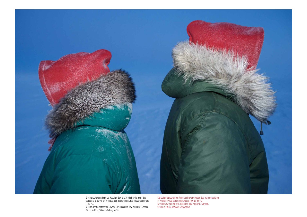

Des rangers canadiens de Resolute Bay et d'Arctic Bay forment des soldats à la survie en Arctique, par des températures pouvant atteindre  $-60\text{ °C}.$ 

Centre d'entraînement de Crystal City, Resolute Bay, Nunavut, Canada. © Louie Palu / *National Geographic*

Canadian Rangers from Resolute Bay and Arctic Bay training soldiers in Arctic survival at temperatures as low as -60°C. Crystal City training site, Resolute Bay, Nunavut, Canada. © Louie Palu / *National Geographic*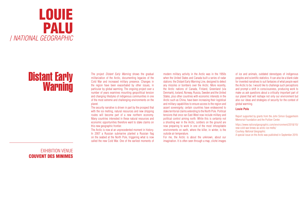

# Distant Early Warning

EXHIBITION VENUE COUVENT DES MINIMES

The project *Distant Early Warning* shows the gradual militarization of the Arctic, documenting legacies of the Cold War and increased military presence. Changes in the region have been exacerbated by other issues, in particular by global warming. The ongoing project over a number of years examines mounting geopolitical tension and changing lifestyles of indigenous communities in one of the most extreme and challenging environments on the planet.

The security narrative is driven in part by the prospect that with the ice melting, natural resources and new shipping routes will become part of a new northern economy. Many countries interested in these natural resources and economic opportunities therefore want to stake claims on this new geographic frontier.

The Arctic is now at an unprecedented moment in history. In 2007 a Russian submarine planted a Russian flag on the seabed at the North Pole, triggering what is now called the new Cold War. One of the earliest moments of modern military activity in the Arctic was in the 1950s when the United States and Canada built a series of radar stations: the Distant Early Warning Line, designed to detect any missiles or bombers over the Arctic. More recently, the Arctic nations of Canada, Finland, Greenland (via Denmark), Iceland, Norway, Russia, Sweden and the United States, plus other countries with economic interests in the Arctic such as China, have been increasing their logistical and military capabilities to ensure access to the region and assert sovereignty; certain countries have endeavored to stake territorial claims extending to the North Pole. Political tensions that once ran East-West now include military and political control aiming north. While this is certainly not a shooting war in the Arctic, soldiers on the ground are now preparing to work in one of the most inhospitable environments on earth, where the killer, in winter, is the outside air temperature.

For me, the Arctic is about the unknown, about our imagination. It is often seen through a map, cliché images of ice and animals, outdated stereotypes of indigenous peoples and scientific statistics. It can also be a blank slate for invented narratives to suit fantasies of what people want the Arctic to be. I would like to challenge such perceptions and prompt a shift in consciousness, producing work to make us ask questions about a critically important part of our planet that will reshape not only our environment but also our ideas and strategies of security for the context of global warming.

#### **Louie Palu**

Report supported by grants from the John Simon Guggenheim Memorial Foundation and the Pulitzer Center.

https://www.nationalgeographic.com/environment/2018/10/ new-cold-war-brews-as-arctic-ice-melts/ Courtesy *National Geographic*. A special issue on the Arctic was published in September 2019.